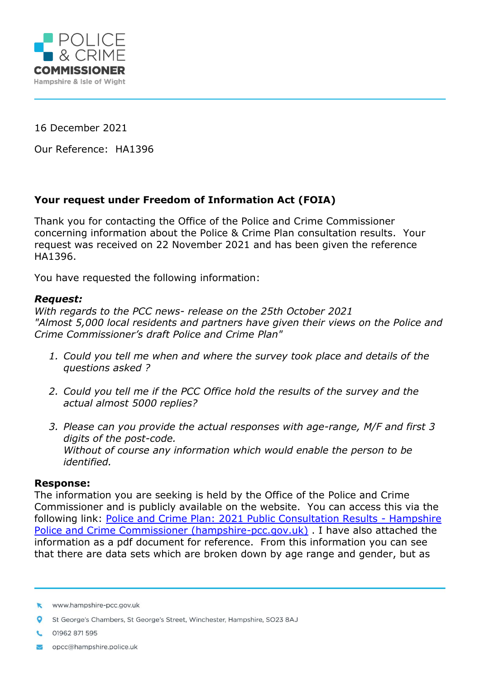

16 December 2021

Our Reference: HA1396

## **Your request under Freedom of Information Act (FOIA)**

Thank you for contacting the Office of the Police and Crime Commissioner concerning information about the Police & Crime Plan consultation results. Your request was received on 22 November 2021 and has been given the reference HA1396.

You have requested the following information:

## *Request:*

*With regards to the PCC news- release on the 25th October 2021 "Almost 5,000 local residents and partners have given their views on the Police and Crime Commissioner's draft Police and Crime Plan"*

- *1. Could you tell me when and where the survey took place and details of the questions asked ?*
- *2. Could you tell me if the PCC Office hold the results of the survey and the actual almost 5000 replies?*
- *3. Please can you provide the actual responses with age-range, M/F and first 3 digits of the post-code. Without of course any information which would enable the person to be identified.*

## **Response:**

The information you are seeking is held by the Office of the Police and Crime Commissioner and is publicly available on the website. You can access this via the following link: [Police and Crime Plan: 2021 Public Consultation Results -](https://www.hampshire-pcc.gov.uk/get-involved/consultations/consultation-results/police-and-crime-plan-2021-public-consultation-results) Hampshire [Police and Crime Commissioner \(hampshire-pcc.gov.uk\)](https://www.hampshire-pcc.gov.uk/get-involved/consultations/consultation-results/police-and-crime-plan-2021-public-consultation-results). I have also attached the information as a pdf document for reference. From this information you can see that there are data sets which are broken down by age range and gender, but as

- 01962 871 595
- opcc@hampshire.police.uk

www.hampshire-pcc.gov.uk

St George's Chambers, St George's Street, Winchester, Hampshire, SO23 8AJ